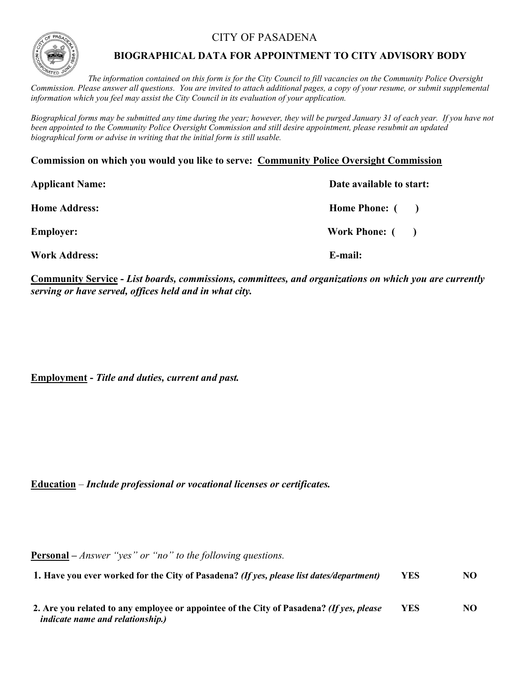CITY OF PASADENA



## **BIOGRAPHICAL DATA FOR APPOINTMENT TO CITY ADVISORY BODY**

*The information contained on this form is for the City Council to fill vacancies on the Community Police Oversight Commission. Please answer all questions. You are invited to attach additional pages, a copy of your resume, or submit supplemental information which you feel may assist the City Council in its evaluation of your application.*

*Biographical forms may be submitted any time during the year; however, they will be purged January 31 of each year. If you have not been appointed to the Community Police Oversight Commission and still desire appointment, please resubmit an updated biographical form or advise in writing that the initial form is still usable.*

**Commission on which you would you like to serve: Community Police Oversight Commission**

| <b>Applicant Name:</b> | Date available to start: |  |
|------------------------|--------------------------|--|
| <b>Home Address:</b>   | Home Phone: ()           |  |
| <b>Employer:</b>       | Work Phone: ()           |  |
| <b>Work Address:</b>   | E-mail:                  |  |

**Community Service -** *List boards, commissions, committees, and organizations on which you are currently serving or have served, offices held and in what city.*

**Employment -** *Title and duties, current and past.* 

**Education** – *Include professional or vocational licenses or certificates.*

**Personal –** *Answer "yes" or "no" to the following questions.*

**1. Have you ever worked for the City of Pasadena?** *(If yes, please list dates/department)* **YES NO**

| 2. Are you related to any employee or appointee of the City of Pasadena? (If yes, please | <b>YES</b> | NO |
|------------------------------------------------------------------------------------------|------------|----|
| <i>indicate name and relationship.)</i>                                                  |            |    |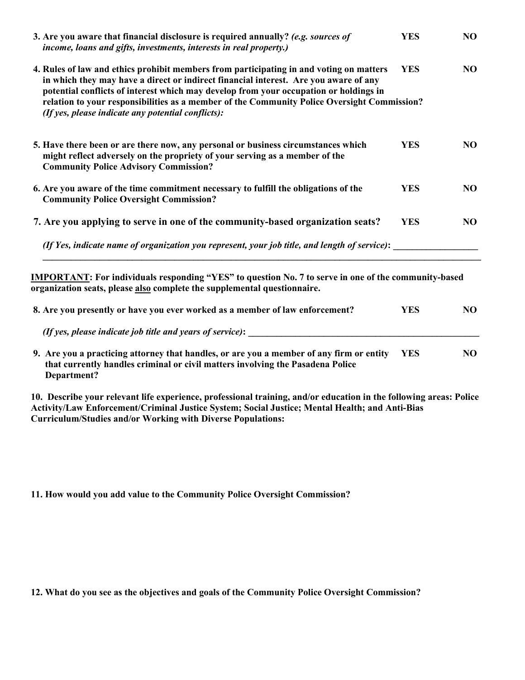| 3. Are you aware that financial disclosure is required annually? (e.g. sources of<br>income, loans and gifts, investments, interests in real property.)                                                                                                                                                                                                                                                                       | <b>YES</b> | NO. |
|-------------------------------------------------------------------------------------------------------------------------------------------------------------------------------------------------------------------------------------------------------------------------------------------------------------------------------------------------------------------------------------------------------------------------------|------------|-----|
| 4. Rules of law and ethics prohibit members from participating in and voting on matters<br>in which they may have a direct or indirect financial interest. Are you aware of any<br>potential conflicts of interest which may develop from your occupation or holdings in<br>relation to your responsibilities as a member of the Community Police Oversight Commission?<br>(If yes, please indicate any potential conflicts): | <b>YES</b> | NO  |
| 5. Have there been or are there now, any personal or business circumstances which<br>might reflect adversely on the propriety of your serving as a member of the<br><b>Community Police Advisory Commission?</b>                                                                                                                                                                                                              | <b>YES</b> | NO. |
| 6. Are you aware of the time commitment necessary to fulfill the obligations of the<br><b>Community Police Oversight Commission?</b>                                                                                                                                                                                                                                                                                          | <b>YES</b> | NO. |
| 7. Are you applying to serve in one of the community-based organization seats?                                                                                                                                                                                                                                                                                                                                                | <b>YES</b> | NO  |
| (If Yes, indicate name of organization you represent, your job title, and length of service):                                                                                                                                                                                                                                                                                                                                 |            |     |
|                                                                                                                                                                                                                                                                                                                                                                                                                               |            |     |

**IMPORTANT: For individuals responding "YES" to question No. 7 to serve in one of the community-based organization seats, please also complete the supplemental questionnaire.** 

| 8. Are you presently or have you ever worked as a member of law enforcement?                                                                                               |      | NO. |
|----------------------------------------------------------------------------------------------------------------------------------------------------------------------------|------|-----|
| (If yes, please indicate job title and years of service):                                                                                                                  |      |     |
| 9. Are you a practicing attorney that handles, or are you a member of any firm or entity<br>that currently handles criminal or civil matters involving the Pasadena Police | YES. | NO. |

 **that currently handles criminal or civil matters involving the Pasadena Police Department?**

**10. Describe your relevant life experience, professional training, and/or education in the following areas: Police Activity/Law Enforcement/Criminal Justice System; Social Justice; Mental Health; and Anti-Bias Curriculum/Studies and/or Working with Diverse Populations:**

**11. How would you add value to the Community Police Oversight Commission?**

**12. What do you see as the objectives and goals of the Community Police Oversight Commission?**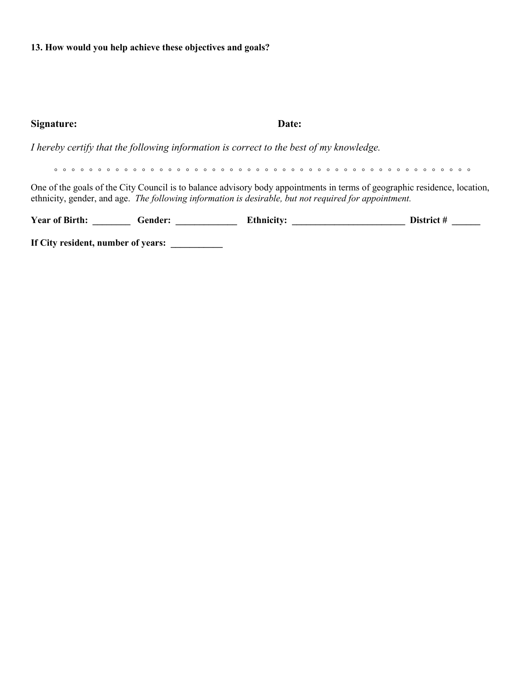**13. How would you help achieve these objectives and goals?** 

| Signature:                                                                                                                                                                                                                         | Date: |            |  |  |  |
|------------------------------------------------------------------------------------------------------------------------------------------------------------------------------------------------------------------------------------|-------|------------|--|--|--|
| I hereby certify that the following information is correct to the best of my knowledge.                                                                                                                                            |       |            |  |  |  |
|                                                                                                                                                                                                                                    |       |            |  |  |  |
| One of the goals of the City Council is to balance advisory body appointments in terms of geographic residence, location,<br>ethnicity, gender, and age. The following information is desirable, but not required for appointment. |       |            |  |  |  |
| Year of Birth: Gender:                                                                                                                                                                                                             |       | District # |  |  |  |
| If City resident, number of years:                                                                                                                                                                                                 |       |            |  |  |  |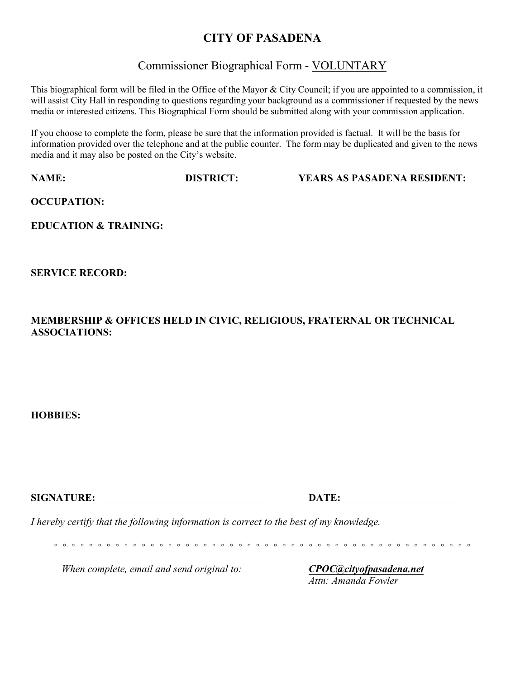## **CITY OF PASADENA**

# Commissioner Biographical Form - VOLUNTARY

This biographical form will be filed in the Office of the Mayor & City Council; if you are appointed to a commission, it will assist City Hall in responding to questions regarding your background as a commissioner if requested by the news media or interested citizens. This Biographical Form should be submitted along with your commission application.

If you choose to complete the form, please be sure that the information provided is factual. It will be the basis for information provided over the telephone and at the public counter. The form may be duplicated and given to the news media and it may also be posted on the City's website.

**NAME: DISTRICT: YEARS AS PASADENA RESIDENT:**

**OCCUPATION:** 

**EDUCATION & TRAINING:** 

**SERVICE RECORD:** 

**MEMBERSHIP & OFFICES HELD IN CIVIC, RELIGIOUS, FRATERNAL OR TECHNICAL ASSOCIATIONS:**

**HOBBIES:** 

**SIGNATURE:** \_\_\_\_\_\_\_\_\_\_\_\_\_\_\_\_\_\_\_\_\_\_\_\_\_\_\_\_\_\_\_\_ **DATE:** \_\_\_\_\_\_\_\_\_\_\_\_\_\_\_\_\_\_\_\_\_\_\_ *I hereby certify that the following information is correct to the best of my knowledge. ◦ ◦ ◦ ◦ ◦ ◦ ◦ ◦ ◦ ◦ ◦ ◦ ◦ ◦ ◦ ◦ ◦ ◦ ◦ ◦ ◦ ◦ ◦ ◦ ◦ ◦ ◦ ◦ ◦ ◦ ◦ ◦ ◦ ◦ ◦ ◦ ◦ ◦ ◦ ◦ ◦ ◦ ◦ ◦ ◦ ◦ ◦ ◦*

*When complete, email and send original to: CPOC[@cityofpasadena.net](mailto:CPOC@cityofpasadena.net)*

*Attn: Amanda Fowler*